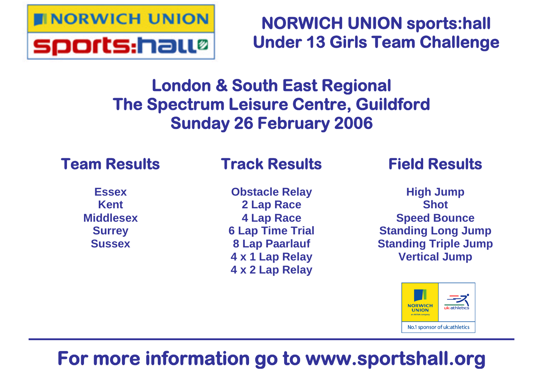

**NORWICH UNION sports:hall Under 13 Girls Team Challenge**

# **London & South East Regional The Spectrum Leisure Centre, Guildford Sunday 26 February 2006**

# **Team Results**

# **Track Results**

**Essex Kent Middlesex Surrey Sussex**

**Obstacle Relay 2 Lap Race 4 Lap Race 6 Lap Time Trial 8 Lap Paarlauf 4 x 1 Lap Relay 4 x 2 Lap Relay**

# **Field Results**

**High Jump Shot Speed Bounce Standing Long Jump Standing Triple Jump Vertical Jump**



# **For more information go to www.sportshall.org**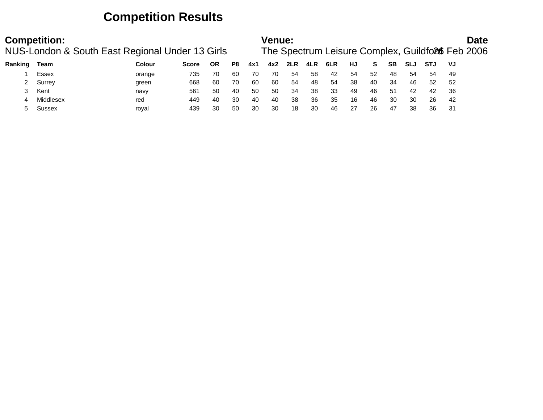## **Competition Results**

|         | <b>Competition:</b><br>NUS-London & South East Regional Under 13 Girls |               |              |    |    |     | <b>Venue:</b> |     |     |     |    |    |           |            |     |     | Date<br>The Spectrum Leisure Complex, Guildford Feb 2006 |
|---------|------------------------------------------------------------------------|---------------|--------------|----|----|-----|---------------|-----|-----|-----|----|----|-----------|------------|-----|-----|----------------------------------------------------------|
| Ranking | Team                                                                   | <b>Colour</b> | <b>Score</b> | ΟR | P8 | 4x1 | 4x2           | 2LR | 4LR | 6LR | HJ | S. | <b>SB</b> | <b>SLJ</b> | STJ | VJ  |                                                          |
|         | Essex                                                                  | orange        | 735          | 70 | 60 | 70  | 70            | 54  | 58  | 42  | 54 | 52 | 48        | 54         | 54  | 49  |                                                          |
|         | Surrey                                                                 | green         | 668          | 60 | 70 | 60  | 60            | 54  | 48  | -54 | 38 | 40 | 34        | 46         | 52  | -52 |                                                          |
|         | Kent                                                                   | navy          | 561          | 50 | 40 | 50  | 50            | 34  | 38  | 33  | 49 | 46 | 51        | 42         | 42  | 36  |                                                          |
|         | Middlesex                                                              | red           | 449          | 40 | 30 | 40  | 40            | 38  | 36  | 35  | 16 | 46 | 30        | 30         | 26  | -42 |                                                          |
|         | Sussex                                                                 | roval         | 439          | 30 | 50 | 30  | 30            | 18  | 30  | 46  | 27 | 26 | 47        | 38         | 36  | 31  |                                                          |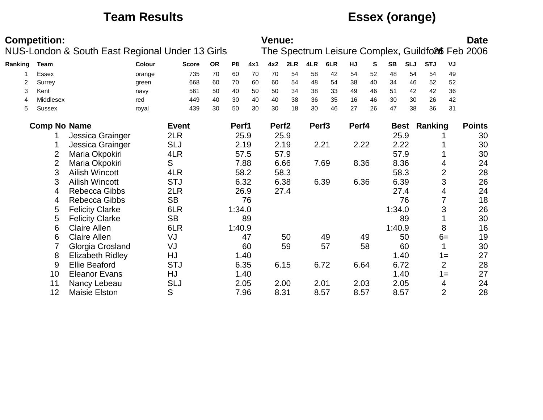## **Team Results Essex (orange)**

|         | <b>Competition:</b> | NUS-London & South East Regional Under 13 Girls |        |              |           |                |     | Venue:            |      |                   |      |       |    |           |            |                     |                | <b>Date</b><br>The Spectrum Leisure Complex, Guildfo26 Feb 2006 |
|---------|---------------------|-------------------------------------------------|--------|--------------|-----------|----------------|-----|-------------------|------|-------------------|------|-------|----|-----------|------------|---------------------|----------------|-----------------------------------------------------------------|
| Ranking | Team                |                                                 | Colour | <b>Score</b> | <b>OR</b> | P <sub>8</sub> | 4x1 | 4x2               | 2LR  | 4LR               | 6LR  | HJ    | S  | <b>SB</b> | <b>SLJ</b> | <b>STJ</b>          | VJ             |                                                                 |
|         | Essex               |                                                 | orange | 735          | 70        | 60             | 70  | 70                | 54   | 58                | 42   | 54    | 52 | 48        | 54         | 54                  | 49             |                                                                 |
| 2       | Surrey              |                                                 | green  | 668          | 60        | 70             | 60  | 60                | 54   | 48                | 54   | 38    | 40 | 34        | 46         | 52                  | 52             |                                                                 |
| 3       | Kent                |                                                 | navy   | 561          | 50        | 40             | 50  | 50                | 34   | 38                | 33   | 49    | 46 | 51        | 42         | 42                  | 36             |                                                                 |
| 4       | Middlesex           |                                                 | red    | 449          | 40        | 30             | 40  | 40                | 38   | 36                | 35   | 16    | 46 | 30        | 30         | 26                  | 42             |                                                                 |
| 5       | Sussex              |                                                 | royal  | 439          | 30        | 50             | 30  | 30                | 18   | 30                | 46   | 27    | 26 | 47        | 38         | 36                  | 31             |                                                                 |
|         | <b>Comp No Name</b> |                                                 |        | <b>Event</b> |           | Perf1          |     | Perf <sub>2</sub> |      | Perf <sub>3</sub> |      | Perf4 |    |           |            | <b>Best Ranking</b> |                | <b>Points</b>                                                   |
|         |                     | Jessica Grainger                                |        | 2LR          |           | 25.9           |     | 25.9              |      |                   |      |       |    | 25.9      |            |                     |                | 30                                                              |
|         |                     | Jessica Grainger                                |        | <b>SLJ</b>   |           | 2.19           |     | 2.19              |      | 2.21              |      | 2.22  |    | 2.22      |            |                     |                | 30                                                              |
|         | 2                   | Maria Okpokiri                                  |        | 4LR          |           | 57.5           |     | 57.9              |      |                   |      |       |    | 57.9      |            |                     |                | 30                                                              |
|         | $\overline{2}$      | Maria Okpokiri                                  |        | S            |           | 7.88           |     |                   | 6.66 |                   | 7.69 | 8.36  |    | 8.36      |            |                     | 4              | 24                                                              |
|         | 3                   | <b>Ailish Wincott</b>                           |        | 4LR          |           | 58.2           |     |                   | 58.3 |                   |      |       |    | 58.3      |            |                     | $\overline{2}$ | 28                                                              |
|         | 3                   | <b>Ailish Wincott</b>                           |        | <b>STJ</b>   |           | 6.32           |     |                   | 6.38 |                   | 6.39 | 6.36  |    | 6.39      |            |                     | 3              | 26                                                              |
|         | 4                   | <b>Rebecca Gibbs</b>                            |        | 2LR          |           | 26.9           |     | 27.4              |      |                   |      |       |    | 27.4      |            |                     | 4              | 24                                                              |
|         | 4                   | Rebecca Gibbs                                   |        | <b>SB</b>    |           |                | 76  |                   |      |                   |      |       |    |           | 76         |                     |                | 18                                                              |
|         | 5                   | <b>Felicity Clarke</b>                          |        | 6LR          |           | 1:34.0         |     |                   |      |                   |      |       |    | 1:34.0    |            |                     | 3              | 26                                                              |
|         | 5                   | <b>Felicity Clarke</b>                          |        | <b>SB</b>    |           |                | 89  |                   |      |                   |      |       |    |           | 89         |                     |                | 30                                                              |
|         | 6                   | <b>Claire Allen</b>                             |        | 6LR          |           | 1:40.9         |     |                   |      |                   |      |       |    | 1:40.9    |            |                     | 8              | 16                                                              |
|         | 6                   | <b>Claire Allen</b>                             |        | VJ           |           |                | 47  |                   | 50   |                   | 49   |       | 49 |           | 50         |                     | $6=$           | 19                                                              |
|         |                     | Glorgia Crosland                                |        | VJ           |           |                | 60  |                   | 59   |                   | 57   |       | 58 |           | 60         |                     |                | 30                                                              |
|         | 8                   | <b>Elizabeth Ridley</b>                         |        | HJ           |           | 1.40           |     |                   |      |                   |      |       |    |           | 1.40       |                     | $1 =$          | 27                                                              |
|         | 9                   | <b>Ellie Beaford</b>                            |        | <b>STJ</b>   |           | 6.35           |     |                   | 6.15 |                   | 6.72 | 6.64  |    | 6.72      |            |                     | $\overline{2}$ | 28                                                              |
|         | 10                  | <b>Eleanor Evans</b>                            |        | HJ           |           | 1.40           |     |                   |      |                   |      |       |    |           | 1.40       |                     | $1 =$          | 27                                                              |
|         | 11                  | Nancy Lebeau                                    |        | <b>SLJ</b>   |           | 2.05           |     | 2.00              |      | 2.01              |      | 2.03  |    | 2.05      |            |                     | 4              | 24                                                              |
|         | 12                  | <b>Maisie Elston</b>                            |        | S            |           | 7.96           |     | 8.31              |      |                   | 8.57 | 8.57  |    | 8.57      |            |                     | $\overline{2}$ | 28                                                              |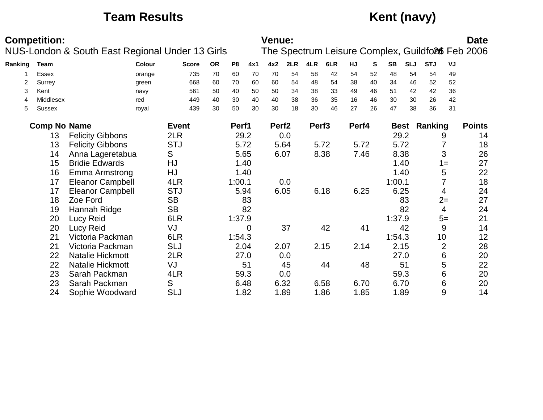# **Team Results Kent (navy)**

|         | <b>Competition:</b> |                                                 |              |           |                |      | <b>Venue:</b>     |      |                   |      |           |    |           |            |                     |                | <b>Date</b>                                      |
|---------|---------------------|-------------------------------------------------|--------------|-----------|----------------|------|-------------------|------|-------------------|------|-----------|----|-----------|------------|---------------------|----------------|--------------------------------------------------|
|         |                     | NUS-London & South East Regional Under 13 Girls |              |           |                |      |                   |      |                   |      |           |    |           |            |                     |                | The Spectrum Leisure Complex, Guildfo26 Feb 2006 |
| Ranking | Team                | Colour                                          | <b>Score</b> | <b>OR</b> | P <sub>8</sub> | 4x1  | 4x2               | 2LR  | 4LR               | 6LR  | <b>HJ</b> | S  | <b>SB</b> | <b>SLJ</b> | <b>STJ</b>          | VJ             |                                                  |
|         | <b>Essex</b>        | orange                                          | 735          | 70        | 60             | 70   | 70                | 54   | 58                | 42   | 54        | 52 | 48        | 54         | 54                  | 49             |                                                  |
| 2       | Surrey              | green                                           | 668          | 60        | 70             | 60   | 60                | 54   | 48                | 54   | 38        | 40 | 34        | 46         | 52                  | 52             |                                                  |
| 3       | Kent                | navy                                            | 561          | 50        | 40             | 50   | 50                | 34   | 38                | 33   | 49        | 46 | 51        | 42         | 42                  | 36             |                                                  |
| 4       | Middlesex           | red                                             | 449          | 40        | 30             | 40   | 40                | 38   | 36                | 35   | 16        | 46 | 30        | 30         | 26                  | 42             |                                                  |
| 5       | <b>Sussex</b>       | royal                                           | 439          | 30        | 50             | 30   | 30                | 18   | 30                | 46   | 27        | 26 | 47        | 38         | 36                  | 31             |                                                  |
|         | <b>Comp No Name</b> |                                                 | <b>Event</b> |           | Perf1          |      | Perf <sub>2</sub> |      | Perf <sub>3</sub> |      | Perf4     |    |           |            | <b>Best Ranking</b> |                | <b>Points</b>                                    |
|         | 13                  | <b>Felicity Gibbons</b>                         | 2LR          |           | 29.2           |      |                   | 0.0  |                   |      |           |    |           | 29.2       |                     | 9              | 14                                               |
|         | 13                  | <b>Felicity Gibbons</b>                         | <b>STJ</b>   |           | 5.72           |      |                   | 5.64 |                   | 5.72 | 5.72      |    |           | 5.72       |                     |                | 18                                               |
|         | 14                  | Anna Lageretabua                                | S            |           | 5.65           |      |                   | 6.07 |                   | 8.38 | 7.46      |    |           | 8.38       |                     | 3              | 26                                               |
|         | 15                  | <b>Bridie Edwards</b>                           | HJ           |           | 1.40           |      |                   |      |                   |      |           |    |           | 1.40       |                     | $1 =$          | 27                                               |
|         | 16                  | <b>Emma Armstrong</b>                           | HJ           |           |                | 1.40 |                   |      |                   |      |           |    |           | 1.40       |                     | 5              | 22                                               |
|         | 17                  | <b>Eleanor Campbell</b>                         | 4LR          |           | 1:00.1         |      |                   | 0.0  |                   |      |           |    | 1:00.1    |            |                     | 7              | 18                                               |
|         | 17                  | <b>Eleanor Campbell</b>                         | <b>STJ</b>   |           | 5.94           |      |                   | 6.05 |                   | 6.18 | 6.25      |    | 6.25      |            |                     | 4              | 24                                               |
|         | 18                  | Zoe Ford                                        | <b>SB</b>    |           |                | 83   |                   |      |                   |      |           |    |           | 83         |                     | $2=$           | 27                                               |
|         | 19                  | Hannah Ridge                                    | <b>SB</b>    |           |                | 82   |                   |      |                   |      |           |    |           | 82         |                     | 4              | 24                                               |
|         | 20                  | <b>Lucy Reid</b>                                | 6LR          |           | 1:37.9         |      |                   |      |                   |      |           |    | 1:37.9    |            |                     | $5=$           | 21                                               |
|         | 20                  | Lucy Reid                                       | VJ           |           |                | 0    |                   | 37   |                   | 42   |           | 41 |           | 42         |                     | 9              | 14                                               |
|         | 21                  | Victoria Packman                                | 6LR          |           | 1:54.3         |      |                   |      |                   |      |           |    | 1:54.3    |            |                     | 10             | 12                                               |
|         | 21                  | Victoria Packman                                | <b>SLJ</b>   |           | 2.04           |      |                   | 2.07 |                   | 2.15 | 2.14      |    |           | 2.15       |                     | $\overline{2}$ | 28                                               |
|         | 22                  | Natalie Hickmott                                | 2LR          |           | 27.0           |      |                   | 0.0  |                   |      |           |    |           | 27.0       |                     | 6              | 20                                               |
|         | 22                  | Natalie Hickmott                                | VJ           |           |                | 51   |                   | 45   |                   | 44   |           | 48 |           | 51         |                     | 5              | 22                                               |
|         | 23                  | Sarah Packman                                   | 4LR          |           | 59.3           |      |                   | 0.0  |                   |      |           |    | 59.3      |            |                     | 6              | 20                                               |
|         | 23                  | Sarah Packman                                   | S            |           | 6.48           |      |                   | 6.32 |                   | 6.58 | 6.70      |    |           | 6.70       |                     | 6              | 20                                               |
|         | 24                  | Sophie Woodward                                 | <b>SLJ</b>   |           | 1.82           |      |                   | 1.89 |                   | 1.86 | 1.85      |    |           | 1.89       |                     | 9              | 14                                               |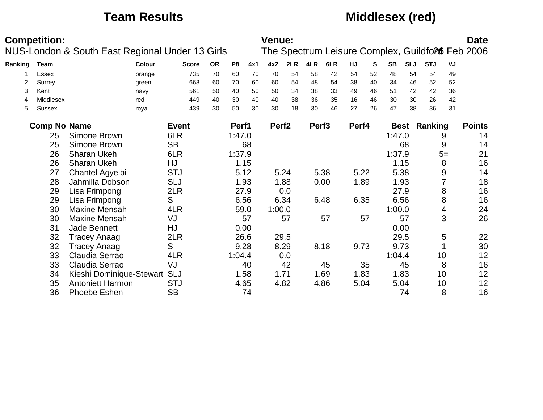## **Team Results Middlesex (red)**

|         | <b>Competition:</b> |                                                 |              |           |                |      | <b>Venue:</b>     |      |                   |      |       |    |           |             |            |      | <b>Date</b>                                      |
|---------|---------------------|-------------------------------------------------|--------------|-----------|----------------|------|-------------------|------|-------------------|------|-------|----|-----------|-------------|------------|------|--------------------------------------------------|
|         |                     | NUS-London & South East Regional Under 13 Girls |              |           |                |      |                   |      |                   |      |       |    |           |             |            |      | The Spectrum Leisure Complex, Guildfo26 Feb 2006 |
| Ranking | Team                | Colour                                          | <b>Score</b> | <b>OR</b> | P <sub>8</sub> | 4x1  | 4x2               | 2LR  | 4LR               | 6LR  | HJ    | S  | <b>SB</b> | <b>SLJ</b>  | <b>STJ</b> | VJ   |                                                  |
|         | <b>Essex</b>        | orange                                          | 735          | 70        | 60             | 70   | 70                | 54   | 58                | 42   | 54    | 52 | 48        | 54          | 54         | 49   |                                                  |
| 2       | Surrey              | green                                           | 668          | 60        | 70             | 60   | 60                | 54   | 48                | 54   | 38    | 40 | 34        | 46          | 52         | 52   |                                                  |
| 3       | Kent                | navy                                            | 561          | 50        | 40             | 50   | 50                | 34   | 38                | 33   | 49    | 46 | 51        | 42          | 42         | 36   |                                                  |
| 4       | Middlesex           | red                                             | 449          | 40        | 30             | 40   | 40                | 38   | 36                | 35   | 16    | 46 | 30        | 30          | 26         | 42   |                                                  |
| 5       | <b>Sussex</b>       | royal                                           | 439          | 30        | 50             | 30   | 30                | 18   | 30                | 46   | 27    | 26 | 47        | 38          | 36         | 31   |                                                  |
|         | <b>Comp No Name</b> |                                                 | <b>Event</b> |           | Perf1          |      | Perf <sub>2</sub> |      | Perf <sub>3</sub> |      | Perf4 |    |           | <b>Best</b> | Ranking    |      | <b>Points</b>                                    |
|         | 25                  | Simone Brown                                    | 6LR          |           | 1:47.0         |      |                   |      |                   |      |       |    | 1:47.0    |             |            | 9    | 14                                               |
|         | 25                  | Simone Brown                                    | <b>SB</b>    |           |                | 68   |                   |      |                   |      |       |    |           | 68          |            | 9    | 14                                               |
|         | 26                  | Sharan Ukeh                                     | 6LR          |           | 1:37.9         |      |                   |      |                   |      |       |    | 1:37.9    |             |            | $5=$ | 21                                               |
|         | 26                  | Sharan Ukeh                                     | HJ           |           |                | 1.15 |                   |      |                   |      |       |    |           | 1.15        |            | 8    | 16                                               |
|         | 27                  | <b>Chantel Agyeibi</b>                          | <b>STJ</b>   |           |                | 5.12 |                   | 5.24 |                   | 5.38 | 5.22  |    |           | 5.38        |            | 9    | 14                                               |
|         | 28                  | Jahmilla Dobson                                 | <b>SLJ</b>   |           |                | 1.93 |                   | 1.88 |                   | 0.00 | 1.89  |    |           | 1.93        |            | 7    | 18                                               |
|         | 29                  | Lisa Frimpong                                   | 2LR          |           |                | 27.9 |                   | 0.0  |                   |      |       |    |           | 27.9        |            | 8    | 16                                               |
|         | 29                  | Lisa Frimpong                                   | S            |           |                | 6.56 |                   | 6.34 |                   | 6.48 | 6.35  |    |           | 6.56        |            | 8    | 16                                               |
|         | 30                  | Maxine Mensah                                   | 4LR          |           |                | 59.0 | 1:00.0            |      |                   |      |       |    | 1:00.0    |             |            | 4    | 24                                               |
|         | 30                  | <b>Maxine Mensah</b>                            | VJ           |           |                | 57   |                   | 57   |                   | 57   |       | 57 |           | 57          |            | 3    | 26                                               |
|         | 31                  | Jade Bennett                                    | HJ           |           |                | 0.00 |                   |      |                   |      |       |    |           | 0.00        |            |      |                                                  |
|         | 32                  | <b>Tracey Anaag</b>                             | 2LR          |           |                | 26.6 |                   | 29.5 |                   |      |       |    |           | 29.5        |            | 5    | 22                                               |
|         | 32                  | <b>Tracey Anaag</b>                             | S            |           |                | 9.28 |                   | 8.29 |                   | 8.18 | 9.73  |    |           | 9.73        |            |      | 30                                               |
|         | 33                  | Claudia Serrao                                  | 4LR          |           | 1:04.4         |      |                   | 0.0  |                   |      |       |    | 1:04.4    |             | 10         |      | 12                                               |
|         | 33                  | Claudia Serrao                                  | VJ           |           |                | 40   |                   | 42   |                   | 45   |       | 35 |           | 45          |            | 8    | 16                                               |
|         | 34                  | Kieshi Dominique-Stewart                        | <b>SLJ</b>   |           |                | 1.58 |                   | 1.71 |                   | 1.69 | 1.83  |    |           | 1.83        | 10         |      | 12                                               |
|         | 35                  | <b>Antoniett Harmon</b>                         | <b>STJ</b>   |           |                | 4.65 |                   | 4.82 |                   | 4.86 | 5.04  |    |           | 5.04        | 10         |      | 12                                               |
|         | 36                  | <b>Phoebe Eshen</b>                             | <b>SB</b>    |           |                | 74   |                   |      |                   |      |       |    |           | 74          |            | 8    | 16                                               |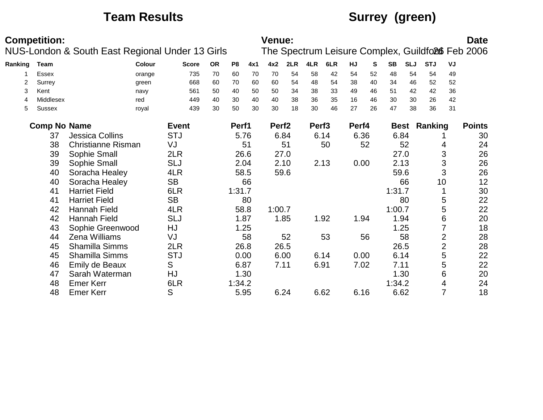# **Team Results Surrey (green)**

|         | <b>Competition:</b> |                                                 |              |           |                |      | Venue:            |      |                   |      |       |    |           |            |                     |    | <b>Date</b>                                      |
|---------|---------------------|-------------------------------------------------|--------------|-----------|----------------|------|-------------------|------|-------------------|------|-------|----|-----------|------------|---------------------|----|--------------------------------------------------|
|         |                     | NUS-London & South East Regional Under 13 Girls |              |           |                |      |                   |      |                   |      |       |    |           |            |                     |    | The Spectrum Leisure Complex, Guildfo26 Feb 2006 |
| Ranking | Team                | <b>Colour</b>                                   | <b>Score</b> | <b>OR</b> | P <sub>8</sub> | 4x1  | 4x2               | 2LR  | 4LR               | 6LR  | HJ    | S  | <b>SB</b> | <b>SLJ</b> | <b>STJ</b>          | VJ |                                                  |
|         | <b>Essex</b>        | orange                                          | 735          | 70        | 60             | 70   | 70                | 54   | 58                | 42   | 54    | 52 | 48        | 54         | 54                  | 49 |                                                  |
| 2       | Surrey              | green                                           | 668          | 60        | 70             | 60   | 60                | 54   | 48                | 54   | 38    | 40 | 34        | 46         | 52                  | 52 |                                                  |
| 3       | Kent                | navy                                            | 561          | 50        | 40             | 50   | 50                | 34   | 38                | 33   | 49    | 46 | 51        | 42         | 42                  | 36 |                                                  |
| 4       | Middlesex           | red                                             | 449          | 40        | 30             | 40   | 40                | 38   | 36                | 35   | 16    | 46 | 30        | 30         | 26                  | 42 |                                                  |
| 5       | Sussex              | royal                                           | 439          | 30        | 50             | 30   | 30                | 18   | 30                | 46   | 27    | 26 | 47        | 38         | 36                  | 31 |                                                  |
|         | <b>Comp No Name</b> |                                                 | <b>Event</b> |           | Perf1          |      | Perf <sub>2</sub> |      | Perf <sub>3</sub> |      | Perf4 |    |           |            | <b>Best Ranking</b> |    | <b>Points</b>                                    |
|         | 37                  | <b>Jessica Collins</b>                          | <b>STJ</b>   |           |                | 5.76 |                   | 6.84 |                   | 6.14 | 6.36  |    | 6.84      |            |                     |    | 30                                               |
|         | 38                  | <b>Christianne Risman</b>                       | VJ           |           |                | 51   |                   | 51   |                   | 50   |       | 52 |           | 52         | 4                   |    | 24                                               |
|         | 39                  | Sophie Small                                    | 2LR          |           |                | 26.6 |                   | 27.0 |                   |      |       |    | 27.0      |            | 3                   |    | 26                                               |
|         | 39                  | Sophie Small                                    | <b>SLJ</b>   |           |                | 2.04 |                   | 2.10 |                   | 2.13 | 0.00  |    |           | 2.13       | 3                   |    | 26                                               |
|         | 40                  | Soracha Healey                                  | 4LR          |           |                | 58.5 |                   | 59.6 |                   |      |       |    |           | 59.6       | 3                   |    | 26                                               |
|         | 40                  | Soracha Healey                                  | <b>SB</b>    |           |                | 66   |                   |      |                   |      |       |    |           | 66         | 10                  |    | 12                                               |
|         | 41                  | <b>Harriet Field</b>                            | 6LR          |           | 1:31.7         |      |                   |      |                   |      |       |    | 1:31.7    |            |                     |    | 30                                               |
|         | 41                  | <b>Harriet Field</b>                            | <b>SB</b>    |           |                | 80   |                   |      |                   |      |       |    |           | 80         | 5                   |    | 22                                               |
|         | 42                  | <b>Hannah Field</b>                             | 4LR          |           |                | 58.8 | 1:00.7            |      |                   |      |       |    | 1:00.7    |            | 5                   |    | 22                                               |
|         | 42                  | <b>Hannah Field</b>                             | <b>SLJ</b>   |           |                | 1.87 |                   | 1.85 |                   | 1.92 | 1.94  |    |           | 1.94       | 6                   |    | 20                                               |
|         | 43                  | Sophie Greenwood                                | HJ           |           |                | 1.25 |                   |      |                   |      |       |    |           | 1.25       |                     |    | 18                                               |
|         | 44                  | <b>Zena Williams</b>                            | VJ           |           |                | 58   |                   | 52   |                   | 53   |       | 56 |           | 58         | $\overline{2}$      |    | 28                                               |
|         | 45                  | Shamilla Simms                                  | 2LR          |           |                | 26.8 |                   | 26.5 |                   |      |       |    | 26.5      |            | $\overline{2}$      |    | 28                                               |
|         | 45                  | Shamilla Simms                                  | <b>STJ</b>   |           |                | 0.00 |                   | 6.00 |                   | 6.14 | 0.00  |    | 6.14      |            | 5                   |    | 22                                               |
|         | 46                  | <b>Emily de Beaux</b>                           | S            |           | 6.87           |      |                   | 7.11 |                   | 6.91 | 7.02  |    | 7.11      |            | 5                   |    | 22                                               |
|         | 47                  | Sarah Waterman                                  | HJ           |           |                | 1.30 |                   |      |                   |      |       |    |           | 1.30       | 6                   |    | 20                                               |
|         | 48                  | Emer Kerr                                       | 6LR          |           | 1:34.2         |      |                   |      |                   |      |       |    | 1:34.2    |            | 4                   |    | 24                                               |
|         | 48                  | <b>Emer Kerr</b>                                | S            |           |                | 5.95 |                   | 6.24 |                   | 6.62 | 6.16  |    | 6.62      |            | 7                   |    | 18                                               |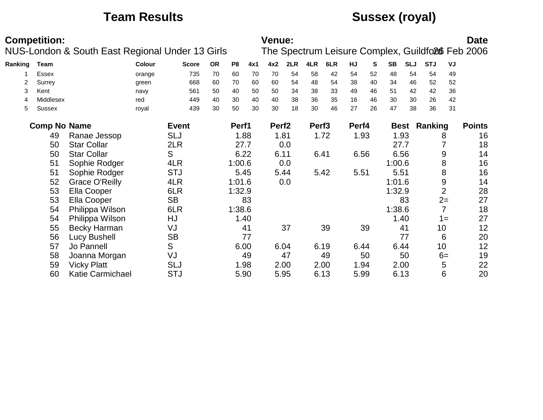# **Team Results Sussex (royal)**

|         | <b>Competition:</b> |                                                 |               |              |           |                |      | Venue:            |      |                   |      |       |    |           |            |                     |                | <b>Date</b>                                      |
|---------|---------------------|-------------------------------------------------|---------------|--------------|-----------|----------------|------|-------------------|------|-------------------|------|-------|----|-----------|------------|---------------------|----------------|--------------------------------------------------|
|         |                     | NUS-London & South East Regional Under 13 Girls |               |              |           |                |      |                   |      |                   |      |       |    |           |            |                     |                | The Spectrum Leisure Complex, Guildfo26 Feb 2006 |
| Ranking | Team                |                                                 | <b>Colour</b> | <b>Score</b> | <b>OR</b> | P <sub>8</sub> | 4x1  | 4x2               | 2LR  | 4LR               | 6LR  | HJ    | S  | <b>SB</b> | <b>SLJ</b> | <b>STJ</b>          | VJ             |                                                  |
|         | <b>Essex</b>        |                                                 | orange        | 735          | 70        | 60             | 70   | 70                | 54   | 58                | 42   | 54    | 52 | 48        | 54         | 54                  | 49             |                                                  |
|         | Surrey              |                                                 | green         | 668          | 60        | 70             | 60   | 60                | 54   | 48                | 54   | 38    | 40 | 34        | 46         | 52                  | 52             |                                                  |
| 3       | Kent                |                                                 | navy          | 561          | 50        | 40             | 50   | 50                | 34   | 38                | 33   | 49    | 46 | 51        | 42         | 42                  | 36             |                                                  |
| 4       | Middlesex           |                                                 | red           | 449          | 40        | 30             | 40   | 40                | 38   | 36                | 35   | 16    | 46 | 30        | 30         | 26                  | 42             |                                                  |
| 5       | <b>Sussex</b>       |                                                 | royal         | 439          | 30        | 50             | 30   | 30                | 18   | 30                | 46   | 27    | 26 | 47        | 38         | 36                  | 31             |                                                  |
|         | <b>Comp No Name</b> |                                                 |               | <b>Event</b> |           | Perf1          |      | Perf <sub>2</sub> |      | Perf <sub>3</sub> |      | Perf4 |    |           |            | <b>Best Ranking</b> |                | <b>Points</b>                                    |
|         | 49                  | Ranae Jessop                                    |               | <b>SLJ</b>   |           |                | 1.88 |                   | 1.81 |                   | 1.72 | 1.93  |    | 1.93      |            |                     | 8              | 16                                               |
|         | 50                  | <b>Star Collar</b>                              |               | 2LR          |           |                | 27.7 |                   | 0.0  |                   |      |       |    | 27.7      |            |                     |                | 18                                               |
|         | 50                  | <b>Star Collar</b>                              |               | S            |           | 6.22           |      | 6.11              |      |                   | 6.41 | 6.56  |    | 6.56      |            |                     | 9              | 14                                               |
|         | 51                  | Sophie Rodger                                   |               | 4LR          |           | 1:00.6         |      |                   | 0.0  |                   |      |       |    | 1:00.6    |            |                     | 8              | 16                                               |
|         | 51                  | Sophie Rodger                                   |               | <b>STJ</b>   |           | 5.45           |      |                   | 5.44 |                   | 5.42 | 5.51  |    | 5.51      |            |                     | 8              | 16                                               |
|         | 52                  | <b>Grace O'Reilly</b>                           |               | 4LR          |           | 1:01.6         |      |                   | 0.0  |                   |      |       |    | 1:01.6    |            |                     | 9              | 14                                               |
|         | 53                  | Ella Cooper                                     |               | 6LR          |           | 1:32.9         |      |                   |      |                   |      |       |    | 1:32.9    |            |                     | $\overline{2}$ | 28                                               |
|         | 53                  | Ella Cooper                                     |               | <b>SB</b>    |           |                | 83   |                   |      |                   |      |       |    |           | 83         |                     | $2=$           | 27                                               |
|         | 54                  | Philippa Wilson                                 |               | 6LR          |           | 1:38.6         |      |                   |      |                   |      |       |    | 1:38.6    |            |                     | 7              | 18                                               |
|         | 54                  | Philippa Wilson                                 |               | HJ           |           |                | 1.40 |                   |      |                   |      |       |    | 1.40      |            |                     | $1 =$          | 27                                               |
|         | 55                  | <b>Becky Harman</b>                             |               | VJ           |           |                | 41   |                   | 37   |                   | 39   |       | 39 |           | 41         |                     | 10             | 12                                               |
|         | 56                  | <b>Lucy Bushell</b>                             |               | <b>SB</b>    |           |                | 77   |                   |      |                   |      |       |    |           | 77         |                     | 6              | 20                                               |
|         | 57                  | Jo Pannell                                      |               | S            |           | 6.00           |      |                   | 6.04 |                   | 6.19 | 6.44  |    | 6.44      |            |                     | 10             | 12                                               |
|         | 58                  | Joanna Morgan                                   |               | VJ           |           |                | 49   |                   | 47   |                   | 49   |       | 50 |           | 50         |                     | $6=$           | 19                                               |
|         | 59                  | <b>Vicky Platt</b>                              |               | <b>SLJ</b>   |           |                | 1.98 |                   | 2.00 |                   | 2.00 | 1.94  |    | 2.00      |            |                     | 5              | 22                                               |
|         | 60                  | Katie Carmichael                                |               | <b>STJ</b>   |           |                | 5.90 |                   | 5.95 |                   | 6.13 | 5.99  |    | 6.13      |            |                     | 6              | 20                                               |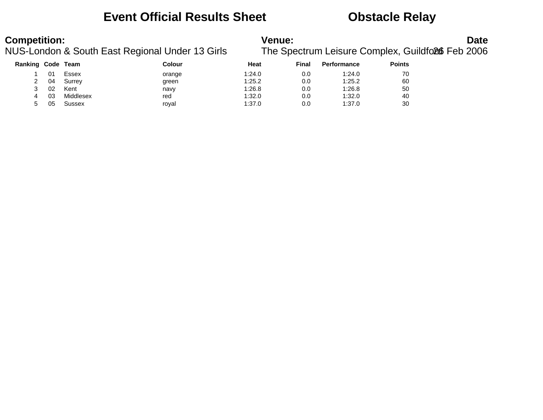### **Event Official Results Sheet Obstacle Relay**

# **Competition:**<br>**Date**<br>NUS-London & South East Regional Under 13 Girls The Spectrum Leisure Complex, Guildfoll Feb 2006

The Spectrum Leisure Complex, Guildford6 Feb 2006

| <b>Ranking Code Team</b> |    |           | <b>Colour</b> | Heat   | Final | <b>Performance</b> | <b>Points</b> |
|--------------------------|----|-----------|---------------|--------|-------|--------------------|---------------|
|                          | 01 | Essex     | orange        | 1:24.0 | 0.0   | 1:24.0             | 70            |
| 2                        | 04 | Surrey    | green         | 1:25.2 | 0.0   | 1:25.2             | 60            |
|                          | 02 | Kent      | navy          | 1:26.8 | 0.0   | 1:26.8             | 50            |
| 4                        | 03 | Middlesex | red           | 1:32.0 | 0.0   | 1:32.0             | 40            |
|                          | 05 | Sussex    | royal         | 1:37.0 | 0.0   | 1:37.0             | 30            |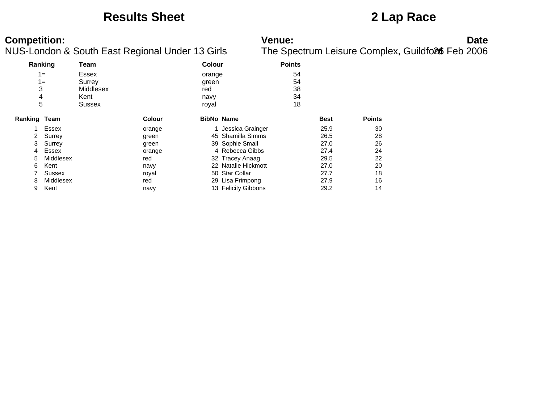### **Results Sheet 2 Lap Race**

| Ranking      |              | Team      |               | <b>Colour</b> |                     | <b>Points</b> |             |               |
|--------------|--------------|-----------|---------------|---------------|---------------------|---------------|-------------|---------------|
|              | $1 =$        | Essex     |               | orange        |                     | 54            |             |               |
|              | $1 =$        | Surrey    |               | green         |                     | 54            |             |               |
| 3            |              | Middlesex |               | red           |                     | 38            |             |               |
| 4            |              | Kent      |               | navy          |                     | 34            |             |               |
| 5            |              | Sussex    |               | royal         |                     | 18            |             |               |
| Ranking Team |              |           | <b>Colour</b> |               | <b>BibNo Name</b>   |               | <b>Best</b> | <b>Points</b> |
|              | Essex        |           | orange        |               | 1 Jessica Grainger  |               | 25.9        | 30            |
| $\mathbf{2}$ | Surrey       |           | green         |               | 45 Shamilla Simms   |               | 26.5        | 28            |
| 3            | Surrey       |           | green         |               | 39 Sophie Small     |               | 27.0        | 26            |
| 4            | <b>Essex</b> |           | orange        |               | 4 Rebecca Gibbs     |               | 27.4        | 24            |
| 5            | Middlesex    |           | red           |               | 32 Tracey Anaag     |               | 29.5        | 22            |
| 6            | Kent         |           | navy          |               | 22 Natalie Hickmott |               | 27.0        | 20            |
|              | Sussex       |           | royal         |               | 50 Star Collar      |               | 27.7        | 18            |
| 8            | Middlesex    |           | red           |               | 29 Lisa Frimpong    |               | 27.9        | 16            |
| 9            | Kent         |           | navy          |               | 13 Felicity Gibbons |               | 29.2        | 14            |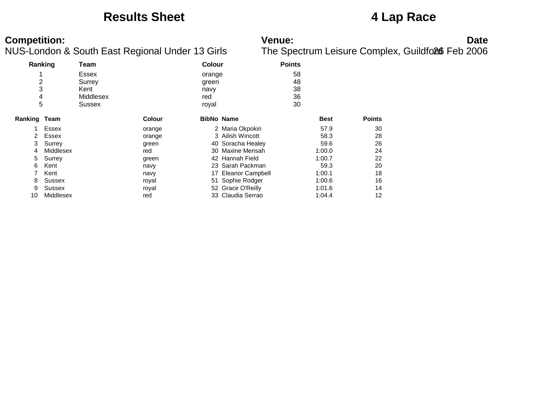### **Results Sheet 4 Lap Race**

| Ranking        |           | Team         |               | Colour            |                     | <b>Points</b> |             |               |
|----------------|-----------|--------------|---------------|-------------------|---------------------|---------------|-------------|---------------|
|                |           | <b>Essex</b> |               | orange            |                     | 58            |             |               |
| $\overline{c}$ |           | Surrey       |               | green             |                     | 48            |             |               |
| 3              |           | Kent         |               | navy              |                     | 38            |             |               |
| 4              |           | Middlesex    |               | red               |                     | 36            |             |               |
| 5              |           | Sussex       |               | royal             |                     | 30            |             |               |
| Ranking Team   |           |              | <b>Colour</b> | <b>BibNo Name</b> |                     |               | <b>Best</b> | <b>Points</b> |
|                | Essex     |              | orange        |                   | 2 Maria Okpokiri    |               | 57.9        | 30            |
| 2              | Essex     |              | orange        |                   | 3 Ailish Wincott    |               | 58.3        | 28            |
| 3              | Surrey    |              | green         |                   | 40 Soracha Healey   |               | 59.6        | 26            |
| 4              | Middlesex |              | red           |                   | 30 Maxine Mensah    |               | 1:00.0      | 24            |
| 5              | Surrey    |              | green         |                   | 42 Hannah Field     |               | 1:00.7      | 22            |
| 6              | Kent      |              | navy          |                   | 23 Sarah Packman    |               | 59.3        | 20            |
|                | Kent      |              | navy          |                   | 17 Eleanor Campbell |               | 1:00.1      | 18            |
| 8              | Sussex    |              | royal         |                   | 51 Sophie Rodger    |               | 1:00.6      | 16            |
| 9              | Sussex    |              | royal         |                   | 52 Grace O'Reilly   |               | 1:01.6      | 14            |
| 10             | Middlesex |              | red           |                   | 33 Claudia Serrao   |               | 1:04.4      | 12            |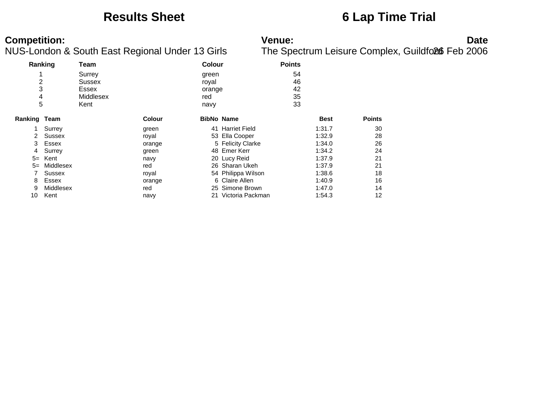### **Results Sheet 6 Lap Time Trial**

| Ranking               |           | Team                                           |               | <b>Colour</b>                           |                    | <b>Points</b>              |             |               |
|-----------------------|-----------|------------------------------------------------|---------------|-----------------------------------------|--------------------|----------------------------|-------------|---------------|
| 4<br>2<br>3<br>4<br>5 |           | Surrey<br>Sussex<br>Essex<br>Middlesex<br>Kent |               | green<br>royal<br>orange<br>red<br>navy |                    | 54<br>46<br>42<br>35<br>33 |             |               |
| Ranking Team          |           |                                                | <b>Colour</b> | <b>BibNo Name</b>                       |                    |                            | <b>Best</b> | <b>Points</b> |
|                       | Surrey    |                                                | green         |                                         | 41 Harriet Field   |                            | 1:31.7      | 30            |
| 2                     | Sussex    |                                                | royal         |                                         | 53 Ella Cooper     |                            | 1:32.9      | 28            |
| 3                     | Essex     |                                                | orange        |                                         | 5 Felicity Clarke  |                            | 1:34.0      | 26            |
| 4                     | Surrey    |                                                | green         |                                         | 48 Emer Kerr       |                            | 1:34.2      | 24            |
| $5=$                  | Kent      |                                                | navy          |                                         | 20 Lucy Reid       |                            | 1:37.9      | 21            |
| $5=$                  | Middlesex |                                                | red           |                                         | 26 Sharan Ukeh     |                            | 1:37.9      | 21            |
|                       | Sussex    |                                                | royal         |                                         | 54 Philippa Wilson |                            | 1:38.6      | 18            |
| 8                     | Essex     |                                                | orange        |                                         | 6 Claire Allen     |                            | 1:40.9      | 16            |
| 9                     | Middlesex |                                                | red           |                                         | 25 Simone Brown    |                            | 1:47.0      | 14            |
| 10                    | Kent      |                                                | navy          | 21                                      | Victoria Packman   |                            | 1:54.3      | 12            |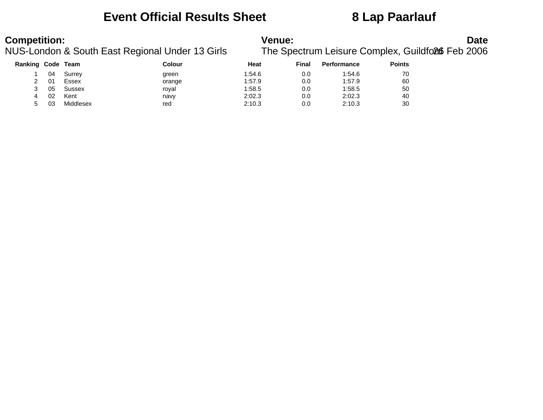### **Event Official Results Sheet 8 Lap Paarlauf**

# **Competition:**<br>**Date**<br>NUS-London & South East Regional Under 13 Girls The Spectrum Leisure Complex, Guildfoll Feb 2006

The Spectrum Leisure Complex, Guildford6 Feb 2006

| Ranking Code Team |     |           | Colour | Heat   | Final | <b>Performance</b> | <b>Points</b> |
|-------------------|-----|-----------|--------|--------|-------|--------------------|---------------|
|                   | 04  | Surrey    | green  | 1:54.6 | 0.0   | 1:54.6             | 70            |
|                   | -01 | Essex     | orange | 1:57.9 | 0.0   | 1:57.9             | 60            |
|                   | 05  | Sussex    | royal  | 1:58.5 | 0.0   | 1:58.5             | 50            |
| 4                 | 02  | Kent      | navy   | 2:02.3 | 0.0   | 2:02.3             | 40            |
| 5                 | 03  | Middlesex | red    | 2:10.3 | 0.0   | 2:10.3             | 30            |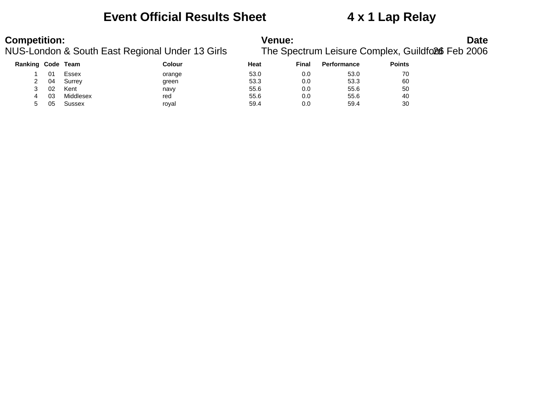### **Event Official Results Sheet 4 x 1 Lap Relay**

| Ranking | Code | Team          | Colour | Heat | <b>Final</b> | <b>Performance</b> | <b>Points</b> |
|---------|------|---------------|--------|------|--------------|--------------------|---------------|
|         |      | Essex         | orange | 53.0 | 0.0          | 53.0               | 70            |
|         | 04   | Surrey        | green  | 53.3 | 0.0          | 53.3               | 60            |
|         | 02   | Kent          | navv   | 55.6 | 0.0          | 55.6               | 50            |
| 4       | 03   | Middlesex     | red    | 55.6 | 0.0          | 55.6               | 40            |
| 5       | 05   | <b>Sussex</b> | royal  | 59.4 | 0.0          | 59.4               | 30            |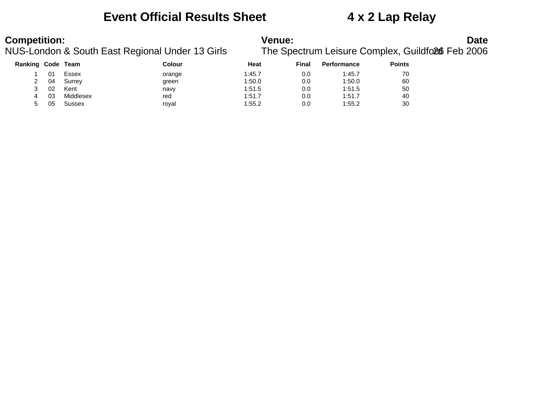### **Event Official Results Sheet 4 x 2 Lap Relay**

# **Competition:**<br>**Date**<br>NUS-London & South East Regional Under 13 Girls The Spectrum Leisure Complex, Guildfoll Feb 2006

# The Spectrum Leisure Complex, Guildford6 Feb 2006

| Ranking Code Team |    |           | Colour | Heat   | Final | <b>Performance</b> | <b>Points</b> |
|-------------------|----|-----------|--------|--------|-------|--------------------|---------------|
|                   | 01 | Essex     | orange | 1:45.7 | 0.0   | 1:45.7             | 70            |
| 2                 | 04 | Surrey    | green  | 1:50.0 | 0.0   | 1:50.0             | 60            |
| ن                 | 02 | Kent      | navy   | 1:51.5 | 0.0   | 1:51.5             | 50            |
| 4                 | 03 | Middlesex | red    | 1:51.7 | 0.0   | 1:51.7             | 40            |
| 5                 | 05 | Sussex    | royal  | 1:55.2 | 0.0   | 1:55.2             | 30            |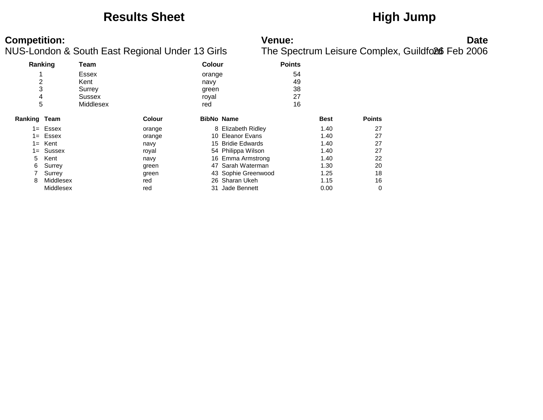### **Results Sheet High Jump**

| Ranking      |              | Team      |               | <b>Colour</b> |                     | <b>Points</b> |             |               |
|--------------|--------------|-----------|---------------|---------------|---------------------|---------------|-------------|---------------|
|              |              | Essex     |               | orange        |                     | 54            |             |               |
| 2            |              | Kent      |               | navy          |                     | 49            |             |               |
| 3            |              | Surrey    |               | green         |                     | 38            |             |               |
| 4            |              | Sussex    |               | royal         |                     | 27            |             |               |
| 5            |              | Middlesex |               | red           |                     | 16            |             |               |
| Ranking Team |              |           | <b>Colour</b> |               | <b>BibNo Name</b>   |               | <b>Best</b> | <b>Points</b> |
|              | $1 =$ Essex  |           | orange        |               | 8 Elizabeth Ridley  |               | 1.40        | 27            |
|              | $1 =$ Essex  |           | orange        |               | 10 Eleanor Evans    |               | 1.40        | 27            |
| $1 =$        | Kent         |           | navy          |               | 15 Bridie Edwards   |               | 1.40        | 27            |
|              | $1 =$ Sussex |           | royal         |               | 54 Philippa Wilson  |               | 1.40        | 27            |
| 5            | Kent         |           | navy          |               | 16 Emma Armstrong   |               | 1.40        | 22            |
| 6            | Surrey       |           | green         |               | 47 Sarah Waterman   |               | 1.30        | 20            |
|              | Surrey       |           | green         |               | 43 Sophie Greenwood |               | 1.25        | 18            |
| 8            | Middlesex    |           | red           |               | 26 Sharan Ukeh      |               | 1.15        | 16            |
|              | Middlesex    |           | red           |               | 31 Jade Bennett     |               | 0.00        | 0             |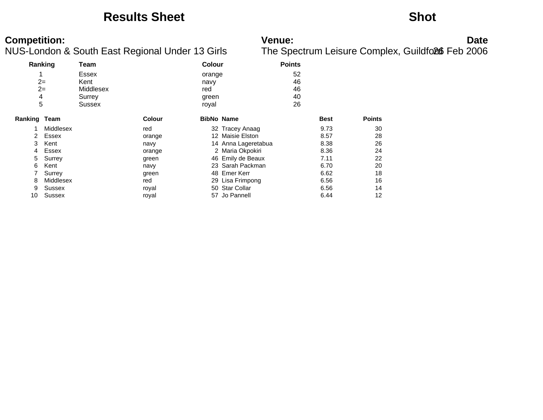### **Results Sheet Shot**

| Ranking             |           | Team                       |               | <b>Colour</b>         |                     | <b>Points</b>  |             |               |
|---------------------|-----------|----------------------------|---------------|-----------------------|---------------------|----------------|-------------|---------------|
| $2=$<br>$2=$        |           | Essex<br>Kent<br>Middlesex |               | orange<br>navy<br>red |                     | 52<br>46<br>46 |             |               |
| 4<br>5              |           | Surrey<br>Sussex           |               | green<br>royal        |                     | 40<br>26       |             |               |
| <b>Ranking Team</b> |           |                            | <b>Colour</b> |                       | <b>BibNo Name</b>   |                | <b>Best</b> | <b>Points</b> |
|                     | Middlesex |                            | red           |                       | 32 Tracey Anaag     |                | 9.73        | 30            |
| 2                   | Essex     |                            | orange        |                       | 12 Maisie Elston    |                | 8.57        | 28            |
| 3                   | Kent      |                            | navy          |                       | 14 Anna Lageretabua |                | 8.38        | 26            |
| 4                   | Essex     |                            | orange        |                       | 2 Maria Okpokiri    |                | 8.36        | 24            |
| 5                   | Surrey    |                            | green         |                       | 46 Emily de Beaux   |                | 7.11        | 22            |
| 6                   | Kent      |                            | navy          |                       | 23 Sarah Packman    |                | 6.70        | 20            |
|                     | Surrey    |                            | green         |                       | 48 Emer Kerr        |                | 6.62        | 18            |
| 8                   | Middlesex |                            | red           |                       | 29 Lisa Frimpong    |                | 6.56        | 16            |
| 9                   | Sussex    |                            | royal         |                       | 50 Star Collar      |                | 6.56        | 14            |
| 10                  | Sussex    |                            | royal         |                       | 57 Jo Pannell       |                | 6.44        | 12            |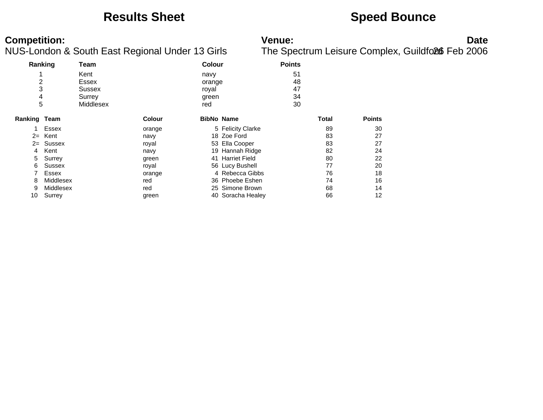### **Results Sheet Speed Bounce**

| Ranking      |              | Team      |               | <b>Colour</b>     |                   | <b>Points</b> |              |               |
|--------------|--------------|-----------|---------------|-------------------|-------------------|---------------|--------------|---------------|
|              |              | Kent      | navy          |                   |                   | 51            |              |               |
| 2            |              | Essex     |               | orange            |                   | 48            |              |               |
| 3            |              | Sussex    |               | royal             |                   | 47            |              |               |
| 4            |              | Surrey    |               | green             |                   | 34            |              |               |
| 5            |              | Middlesex |               | red               |                   | 30            |              |               |
| Ranking Team |              |           | <b>Colour</b> | <b>BibNo Name</b> |                   |               | <b>Total</b> | <b>Points</b> |
|              | Essex        |           | orange        |                   | 5 Felicity Clarke |               | 89           | 30            |
| $2=$         | Kent         |           | navy          |                   | 18 Zoe Ford       |               | 83           | 27            |
| $2=$         | Sussex       |           | royal         |                   | 53 Ella Cooper    |               | 83           | 27            |
| 4            | Kent         |           | navy          |                   | 19 Hannah Ridge   |               | 82           | 24            |
| 5            | Surrey       |           | green         |                   | 41 Harriet Field  |               | 80           | 22            |
| 6            | Sussex       |           | royal         |                   | 56 Lucy Bushell   |               | 77           | 20            |
|              | <b>Essex</b> |           | orange        |                   | 4 Rebecca Gibbs   |               | 76           | 18            |
| 8            | Middlesex    |           | red           |                   | 36 Phoebe Eshen   |               | 74           | 16            |
| 9            | Middlesex    |           | red           |                   | 25 Simone Brown   |               | 68           | 14            |
| 10           | Surrey       |           | green         |                   | 40 Soracha Healey |               | 66           | 12            |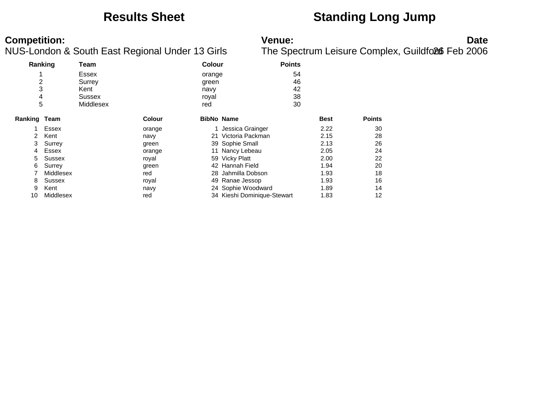### **Results Sheet Standing Long Jump**

| Ranking        |              | Team      |               | <b>Colour</b> |                             | <b>Points</b> |             |               |
|----------------|--------------|-----------|---------------|---------------|-----------------------------|---------------|-------------|---------------|
|                |              | Essex     |               | orange        |                             | 54            |             |               |
| $\overline{c}$ |              | Surrey    |               | green         |                             | 46            |             |               |
| 3              |              | Kent      |               | navy          |                             | 42            |             |               |
| 4              |              | Sussex    |               | royal         |                             | 38            |             |               |
| 5              |              | Middlesex |               | red           |                             | 30            |             |               |
| Ranking Team   |              |           | <b>Colour</b> |               | <b>BibNo Name</b>           |               | <b>Best</b> | <b>Points</b> |
|                | Essex        |           | orange        |               | 1 Jessica Grainger          |               | 2.22        | 30            |
| $\mathcal{P}$  | Kent         |           | navy          |               | 21 Victoria Packman         |               | 2.15        | 28            |
| 3              | Surrey       |           | green         |               | 39 Sophie Small             |               | 2.13        | 26            |
| 4              | <b>Essex</b> |           | orange        |               | 11 Nancy Lebeau             |               | 2.05        | 24            |
| 5.             | Sussex       |           | royal         |               | 59 Vicky Platt              |               | 2.00        | 22            |
| 6.             | Surrey       |           | green         |               | 42 Hannah Field             |               | 1.94        | 20            |
|                | Middlesex    |           | red           |               | 28 Jahmilla Dobson          |               | 1.93        | 18            |
| 8              | Sussex       |           | royal         |               | 49 Ranae Jessop             |               | 1.93        | 16            |
| 9              | Kent         |           | navy          |               | 24 Sophie Woodward          |               | 1.89        | 14            |
| 10             | Middlesex    |           | red           |               | 34 Kieshi Dominique-Stewart |               | 1.83        | 12            |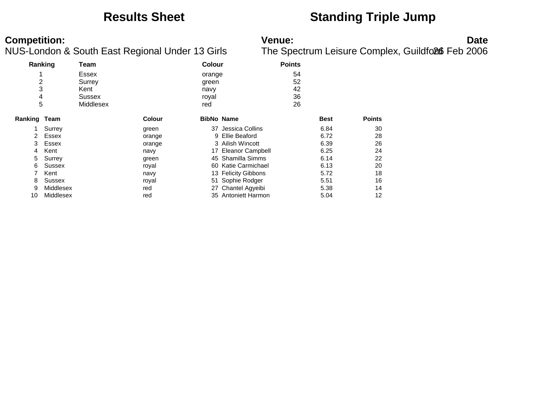### **Results Sheet Standing Triple Jump**

| Ranking               |           | Team                                                                                      |               | <b>Colour</b> |                            | <b>Points</b> |             |               |
|-----------------------|-----------|-------------------------------------------------------------------------------------------|---------------|---------------|----------------------------|---------------|-------------|---------------|
| 1<br>2<br>3<br>4<br>5 |           | Essex<br>orange<br>Surrey<br>green<br>Kent<br>navy<br>Sussex<br>royal<br>Middlesex<br>red |               |               | 54<br>52<br>42<br>36<br>26 |               |             |               |
| Ranking               | Team      |                                                                                           | <b>Colour</b> |               | <b>BibNo Name</b>          |               | <b>Best</b> | <b>Points</b> |
|                       | Surrey    |                                                                                           | green         |               | 37 Jessica Collins         |               | 6.84        | 30            |
| 2                     | Essex     |                                                                                           | orange        | 9             | Ellie Beaford              |               | 6.72        | 28            |
| 3                     | Essex     |                                                                                           | orange        |               | 3 Ailish Wincott           |               | 6.39        | 26            |
| 4                     | Kent      |                                                                                           | navy          |               | 17 Eleanor Campbell        |               | 6.25        | 24            |
| 5                     | Surrey    |                                                                                           | green         |               | 45 Shamilla Simms          |               | 6.14        | 22            |
| 6                     | Sussex    |                                                                                           | royal         |               | 60 Katie Carmichael        |               | 6.13        | 20            |
|                       | Kent      |                                                                                           | navy          |               | 13 Felicity Gibbons        |               | 5.72        | 18            |
| 8                     | Sussex    |                                                                                           | royal         |               | 51 Sophie Rodger           |               | 5.51        | 16            |
| 9                     | Middlesex |                                                                                           | red           |               | 27 Chantel Agyeibi         |               | 5.38        | 14            |
| 10                    | Middlesex |                                                                                           | red           |               | 35 Antoniett Harmon        |               | 5.04        | 12            |